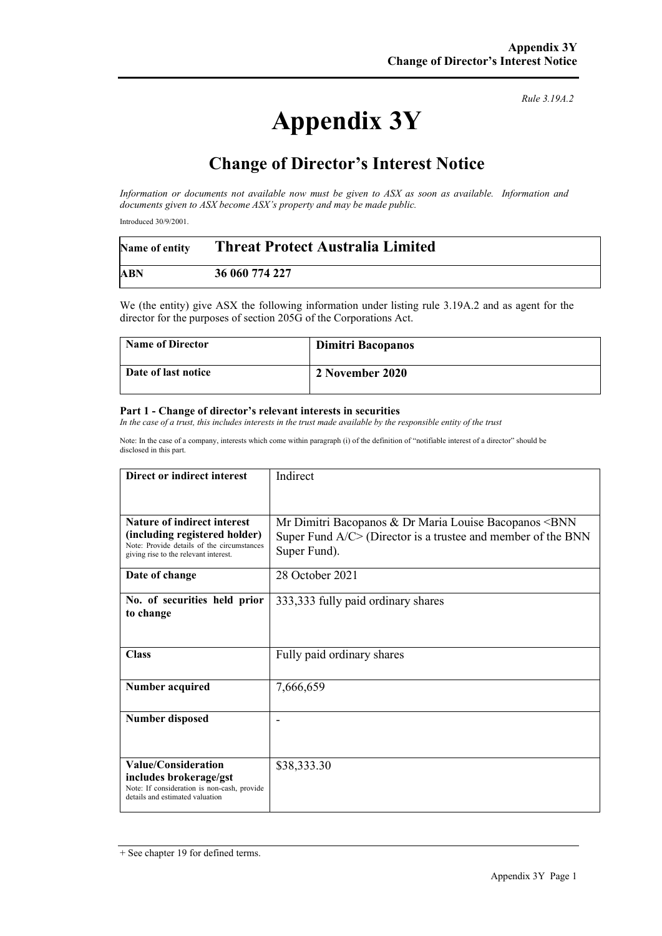# **Appendix 3Y**

*Rule 3.19A.2*

## **Change of Director's Interest Notice**

*Information or documents not available now must be given to ASX as soon as available. Information and documents given to ASX become ASX's property and may be made public.*

Introduced 30/9/2001.

| Name of entity | <b>Threat Protect Australia Limited</b> |
|----------------|-----------------------------------------|
| <b>ABN</b>     | 36 060 774 227                          |

We (the entity) give ASX the following information under listing rule 3.19A.2 and as agent for the director for the purposes of section 205G of the Corporations Act.

| <b>Name of Director</b> | Dimitri Bacopanos |
|-------------------------|-------------------|
| Date of last notice     | 2 November 2020   |

#### **Part 1 - Change of director's relevant interests in securities**

*In the case of a trust, this includes interests in the trust made available by the responsible entity of the trust*

Note: In the case of a company, interests which come within paragraph (i) of the definition of "notifiable interest of a director" should be disclosed in this part.

| Direct or indirect interest                                                                                                                         | Indirect                                                                                                                                                    |  |
|-----------------------------------------------------------------------------------------------------------------------------------------------------|-------------------------------------------------------------------------------------------------------------------------------------------------------------|--|
|                                                                                                                                                     |                                                                                                                                                             |  |
| Nature of indirect interest<br>(including registered holder)<br>Note: Provide details of the circumstances<br>giving rise to the relevant interest. | Mr Dimitri Bacopanos & Dr Maria Louise Bacopanos <bnn<br>Super Fund <math>A/C</math> (Director is a trustee and member of the BNN<br/>Super Fund).</bnn<br> |  |
| Date of change                                                                                                                                      | 28 October 2021                                                                                                                                             |  |
| No. of securities held prior<br>to change                                                                                                           | 333,333 fully paid ordinary shares                                                                                                                          |  |
| <b>Class</b>                                                                                                                                        | Fully paid ordinary shares                                                                                                                                  |  |
| <b>Number acquired</b>                                                                                                                              | 7,666,659                                                                                                                                                   |  |
| <b>Number disposed</b>                                                                                                                              |                                                                                                                                                             |  |
| <b>Value/Consideration</b><br>includes brokerage/gst<br>Note: If consideration is non-cash, provide<br>details and estimated valuation              | \$38,333.30                                                                                                                                                 |  |

<sup>+</sup> See chapter 19 for defined terms.